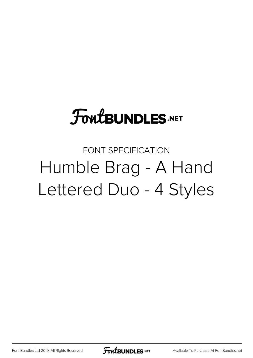# **FoutBUNDLES.NET**

### FONT SPECIFICATION Humble Brag - A Hand Lettered Duo - 4 Styles

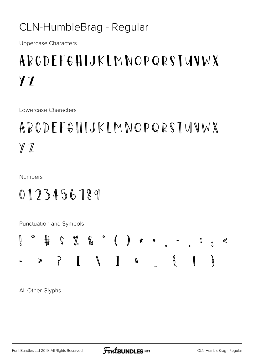#### CLN-HumbleBrag - Regular

**Uppercase Characters** 

## **ABCDFFGHIJKIMNOPQRSTUVWX**  $Y<sub>1</sub>$

Lowercase Characters

### ABCDEFGHIJKLMNOPQRSTUVWX  $Y \mathcal{T}$

**Numbers** 

#### 0123456789

Punctuation and Symbols



All Other Glyphs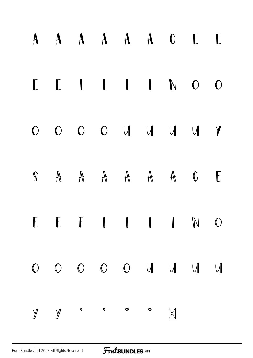|  |                                                                                                                                                                                                                                                                                                                                                             |  | A A A A A A C E E       |  |
|--|-------------------------------------------------------------------------------------------------------------------------------------------------------------------------------------------------------------------------------------------------------------------------------------------------------------------------------------------------------------|--|-------------------------|--|
|  |                                                                                                                                                                                                                                                                                                                                                             |  | $E E I I I I N O O$     |  |
|  |                                                                                                                                                                                                                                                                                                                                                             |  | 0 0 0 0 0 0 0 0 1 0 1 1 |  |
|  |                                                                                                                                                                                                                                                                                                                                                             |  | S A A A A A A C E       |  |
|  |                                                                                                                                                                                                                                                                                                                                                             |  | $E E E I I I I N O$     |  |
|  |                                                                                                                                                                                                                                                                                                                                                             |  | 0 0 0 0 0 0 1 1 1 1 1   |  |
|  | $\begin{picture}(160,170) \put(0,0){\vector(1,0){100}} \put(150,0){\vector(1,0){100}} \put(150,0){\vector(1,0){100}} \put(150,0){\vector(1,0){100}} \put(150,0){\vector(1,0){100}} \put(150,0){\vector(1,0){100}} \put(150,0){\vector(1,0){100}} \put(150,0){\vector(1,0){100}} \put(150,0){\vector(1,0){100}} \put(150,0){\vector(1,0){100}} \put(150,0){$ |  | $\boxtimes$             |  |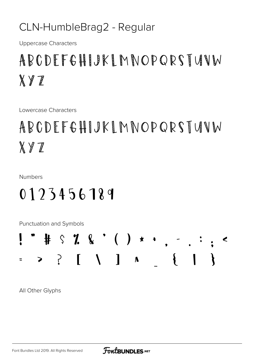#### CLN-HumbleBrag2 - Regular

**Uppercase Characters** 

### ABCDFFGHIJKI MNOPORSTUNW  $X \nsubseteq Z$

Lowercase Characters

ABCDEFGHIJKIMNOPQRSTUNW  $X Y Z$ 

**Numbers** 

#### 0123456189

Punctuation and Symbols



All Other Glyphs